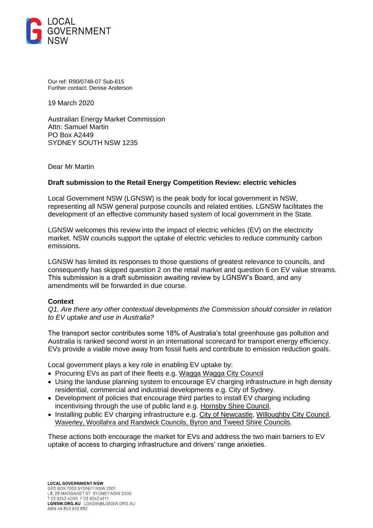

Our ref: R90/0748-07 Sub-615 Further contact: Denise Anderson

19 March 2020

Australian Energy Market Commission Attn: Samuel Martin PO Box A2449 SYDNEY SOUTH NSW 1235

Dear Mr Martin

# **Draft submission to the Retail Energy Competition Review: electric vehicles**

Local Government NSW (LGNSW) is the peak body for local government in NSW, representing all NSW general purpose councils and related entities. LGNSW facilitates the development of an effective community based system of local government in the State.

LGNSW welcomes this review into the impact of electric vehicles (EV) on the electricity market. NSW councils support the uptake of electric vehicles to reduce community carbon emissions.

LGNSW has limited its responses to those questions of greatest relevance to councils, and consequently has skipped question 2 on the retail market and question 6 on EV value streams. This submission is a draft submission awaiting review by LGNSW's Board, and any amendments will be forwarded in due course.

# **Context**

*Q1. Are there any other contextual developments the Commission should consider in relation to EV uptake and use in Australia?*

The transport sector contributes some 18% of Australia's total greenhouse gas pollution and Australia is ranked second worst in an international scorecard for transport energy efficiency. EVs provide a viable move away from fossil fuels and contribute to emission reduction goals.

Local government plays a key role in enabling EV uptake by:

- Procuring EVs as part of their fleets e.g. [Wagga Wagga City Council](https://wagga.nsw.gov.au/city-of-wagga-wagga/council/news/news-archive/august-2019/council-adds-first-electric-vehicle-to-its-fleet)
- Using the landuse planning system to encourage EV charging infrastructure in high density residential, commercial and industrial developments e.g. City of Sydney.
- Development of policies that encourage third parties to install EV charging including incentivising through the use of public land e.g. [Hornsby Shire Council,](https://www.hornsby.nsw.gov.au/council/noticeboard/your-say/current-exhibitions/draft-green-car-policies)
- Installing public EV charging infrastructure e.g. [City of Newcastle,](https://www.newcastle.nsw.gov.au/Council/News/Latest-News/City-prepares-for-electric-vehicle-future) [Willoughby City Council,](http://www.willoughby.nsw.gov.au/environment---sustainability/sustainable-living/transport/car-share--green-vehicles/) [Waverley, Woollahra and Randwick Councils,](https://www.waverley.nsw.gov.au/environment/sustainable_transport/electric_vehicle_charging_station) [Byron and Tweed Shire Councils.](https://www.waverley.nsw.gov.au/environment/sustainable_transport/electric_vehicle_charging_station)

These actions both encourage the market for EVs and address the two main barriers to EV uptake of access to charging infrastructure and drivers' range anxieties.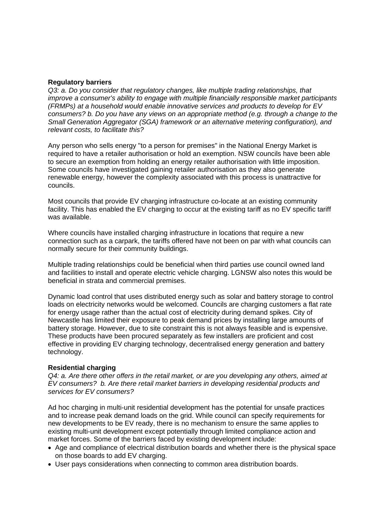## **Regulatory barriers**

*Q3: a. Do you consider that regulatory changes, like multiple trading relationships, that improve a consumer's ability to engage with multiple financially responsible market participants (FRMPs) at a household would enable innovative services and products to develop for EV consumers? b. Do you have any views on an appropriate method (e.g. through a change to the Small Generation Aggregator (SGA) framework or an alternative metering configuration), and relevant costs, to facilitate this?* 

Any person who sells energy "to a person for premises" in the National Energy Market is required to have a retailer authorisation or hold an exemption. NSW councils have been able to secure an exemption from holding an energy retailer authorisation with little imposition. Some councils have investigated gaining retailer authorisation as they also generate renewable energy, however the complexity associated with this process is unattractive for councils.

Most councils that provide EV charging infrastructure co-locate at an existing community facility. This has enabled the EV charging to occur at the existing tariff as no EV specific tariff was available.

Where councils have installed charging infrastructure in locations that require a new connection such as a carpark, the tariffs offered have not been on par with what councils can normally secure for their community buildings.

Multiple trading relationships could be beneficial when third parties use council owned land and facilities to install and operate electric vehicle charging. LGNSW also notes this would be beneficial in strata and commercial premises.

Dynamic load control that uses distributed energy such as solar and battery storage to control loads on electricity networks would be welcomed. Councils are charging customers a flat rate for energy usage rather than the actual cost of electricity during demand spikes. City of Newcastle has limited their exposure to peak demand prices by installing large amounts of battery storage. However, due to site constraint this is not always feasible and is expensive. These products have been procured separately as few installers are proficient and cost effective in providing EV charging technology, decentralised energy generation and battery technology.

#### **Residential charging**

*Q4: a. Are there other offers in the retail market, or are you developing any others, aimed at EV consumers? b. Are there retail market barriers in developing residential products and services for EV consumers?* 

Ad hoc charging in multi-unit residential development has the potential for unsafe practices and to increase peak demand loads on the grid. While council can specify requirements for new developments to be EV ready, there is no mechanism to ensure the same applies to existing multi-unit development except potentially through limited compliance action and market forces. Some of the barriers faced by existing development include:

- Age and compliance of electrical distribution boards and whether there is the physical space on those boards to add EV charging.
- User pays considerations when connecting to common area distribution boards.